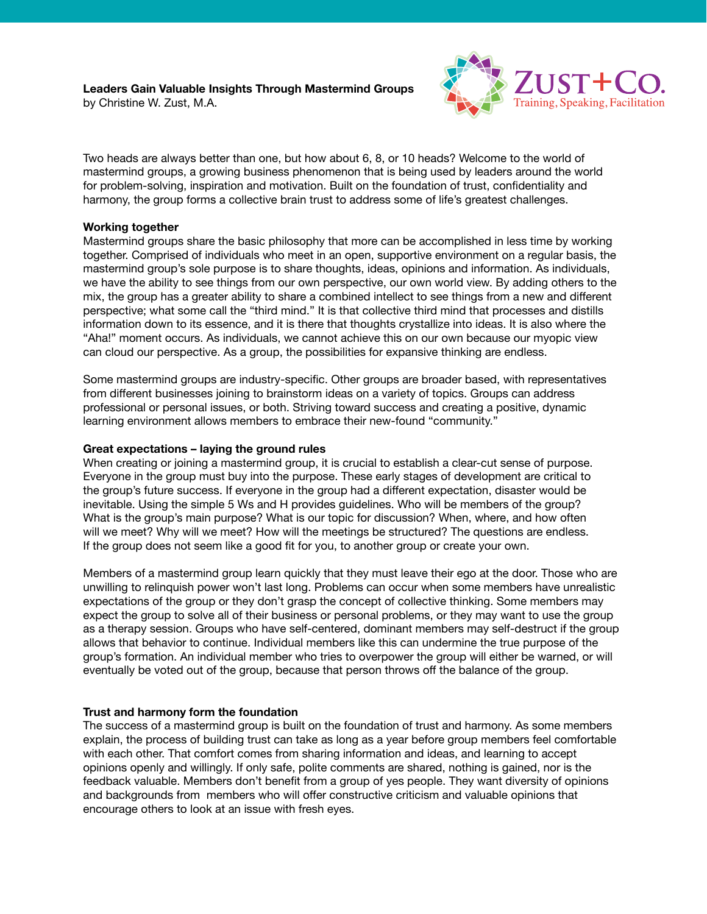**Leaders Gain Valuable Insights Through Mastermind Groups**

by Christine W. Zust, M.A.



Two heads are always better than one, but how about 6, 8, or 10 heads? Welcome to the world of mastermind groups, a growing business phenomenon that is being used by leaders around the world for problem-solving, inspiration and motivation. Built on the foundation of trust, confidentiality and harmony, the group forms a collective brain trust to address some of life's greatest challenges.

## **Working together**

Mastermind groups share the basic philosophy that more can be accomplished in less time by working together. Comprised of individuals who meet in an open, supportive environment on a regular basis, the mastermind group's sole purpose is to share thoughts, ideas, opinions and information. As individuals, we have the ability to see things from our own perspective, our own world view. By adding others to the mix, the group has a greater ability to share a combined intellect to see things from a new and different perspective; what some call the "third mind." It is that collective third mind that processes and distills information down to its essence, and it is there that thoughts crystallize into ideas. It is also where the "Aha!" moment occurs. As individuals, we cannot achieve this on our own because our myopic view can cloud our perspective. As a group, the possibilities for expansive thinking are endless.

Some mastermind groups are industry-specific. Other groups are broader based, with representatives from different businesses joining to brainstorm ideas on a variety of topics. Groups can address professional or personal issues, or both. Striving toward success and creating a positive, dynamic learning environment allows members to embrace their new-found "community."

### **Great expectations – laying the ground rules**

When creating or joining a mastermind group, it is crucial to establish a clear-cut sense of purpose. Everyone in the group must buy into the purpose. These early stages of development are critical to the group's future success. If everyone in the group had a different expectation, disaster would be inevitable. Using the simple 5 Ws and H provides guidelines. Who will be members of the group? What is the group's main purpose? What is our topic for discussion? When, where, and how often will we meet? Why will we meet? How will the meetings be structured? The questions are endless. If the group does not seem like a good fit for you, to another group or create your own.

Members of a mastermind group learn quickly that they must leave their ego at the door. Those who are unwilling to relinquish power won't last long. Problems can occur when some members have unrealistic expectations of the group or they don't grasp the concept of collective thinking. Some members may expect the group to solve all of their business or personal problems, or they may want to use the group as a therapy session. Groups who have self-centered, dominant members may self-destruct if the group allows that behavior to continue. Individual members like this can undermine the true purpose of the group's formation. An individual member who tries to overpower the group will either be warned, or will eventually be voted out of the group, because that person throws off the balance of the group.

# **Trust and harmony form the foundation**

The success of a mastermind group is built on the foundation of trust and harmony. As some members explain, the process of building trust can take as long as a year before group members feel comfortable with each other. That comfort comes from sharing information and ideas, and learning to accept opinions openly and willingly. If only safe, polite comments are shared, nothing is gained, nor is the feedback valuable. Members don't benefit from a group of yes people. They want diversity of opinions and backgrounds from members who will offer constructive criticism and valuable opinions that encourage others to look at an issue with fresh eyes.